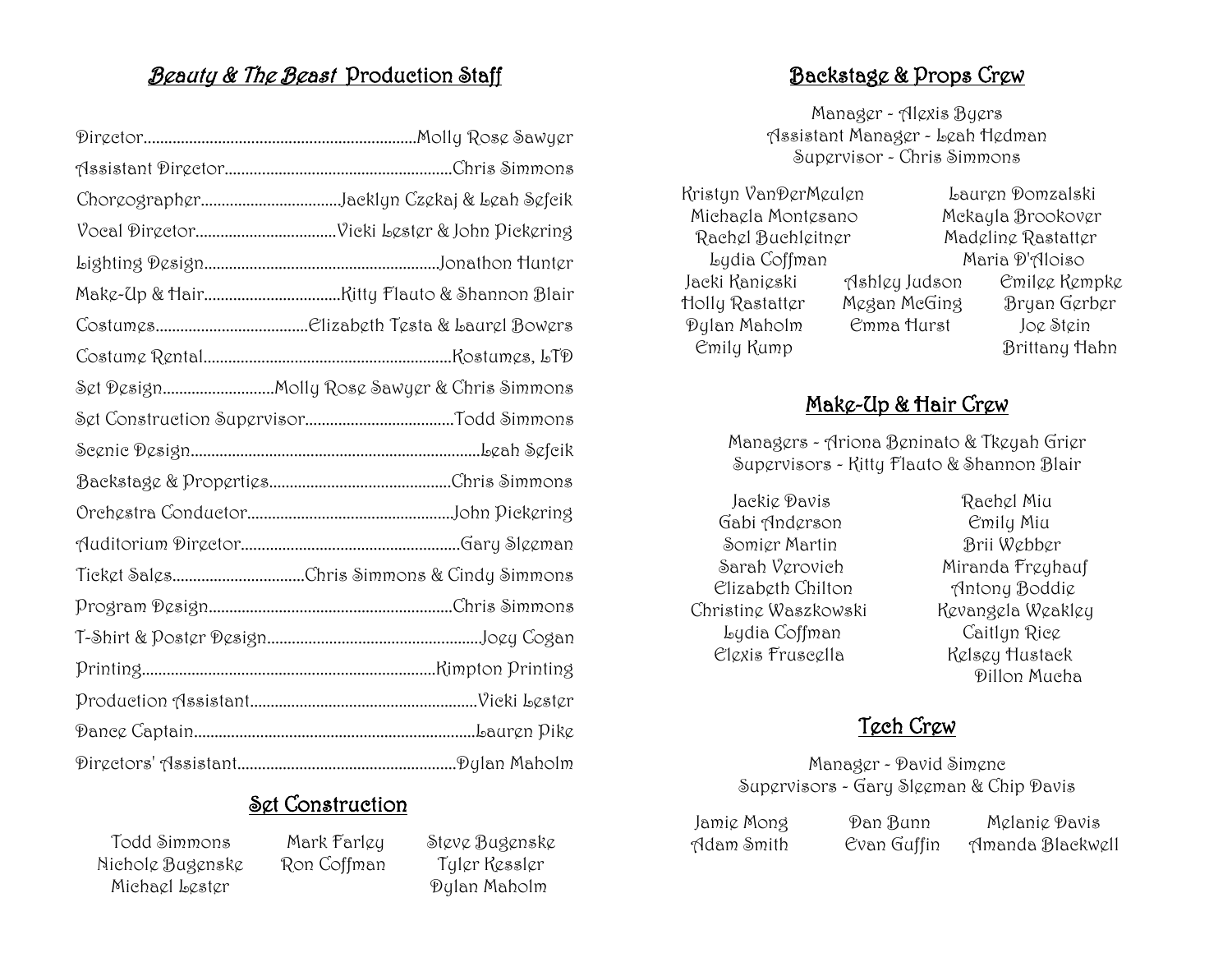## Beauty & The Beast Production Staff

| ChoreographerJacklyn Czekaj & Leah Sefcik   |
|---------------------------------------------|
|                                             |
|                                             |
|                                             |
|                                             |
|                                             |
| Set DesignMolly Rose Sawyer & Chris Simmons |
|                                             |
|                                             |
|                                             |
|                                             |
|                                             |
| Ticket SalesChris Simmons & Cindy Simmons   |
|                                             |
|                                             |
|                                             |
|                                             |
|                                             |
|                                             |

# Set Construction

 Todd Simmons Mark Farley Steve Bugenske Nichole Bugenske Ron Coffman Tyler Kessler Michael Lester Dylan Maholm

## Backstage & Props Crew

Manager - Alexis Byers Assistant Manager - Leah Hedman Supervisor - Chris Simmons

 Kristyn VanDerMeulen Lauren Domzalski Michaela Montesano Mckayla Brookover Rachel Buchleitner Madeline Rastatter Lydia Coffman Maria D'Aloiso Jacki Kanieski Ashley Judson Emilee Kempke Holly Rastatter Megan McGing Bryan Gerber Dylan Maholm Emma Hurst Joe Stein Emily Kump Brittany Hahn

#### Make-Up & Hair Crew

Managers - Ariona Beninato & Tkeyah Grier Supervisors - Kitty Flauto & Shannon Blair

 Jackie Davis Rachel Miu Gabi Anderson Emily Miu Somier Martin Brii Webber Sarah Verovich Miranda Freyhauf Elizabeth Chilton Antony Boddie Christine Waszkowski Kevangela Weakley Lydia Coffman Caitlyn Rice Elexis Fruscella Kelsey Hustack

Dillon Mucha

# Tech Crew

Manager - David Simenc Supervisors - Gary Sleeman & Chip Davis

Jamie Mong Dan Bunn Melanie Davis

Adam Smith Evan Guffin Amanda Blackwell